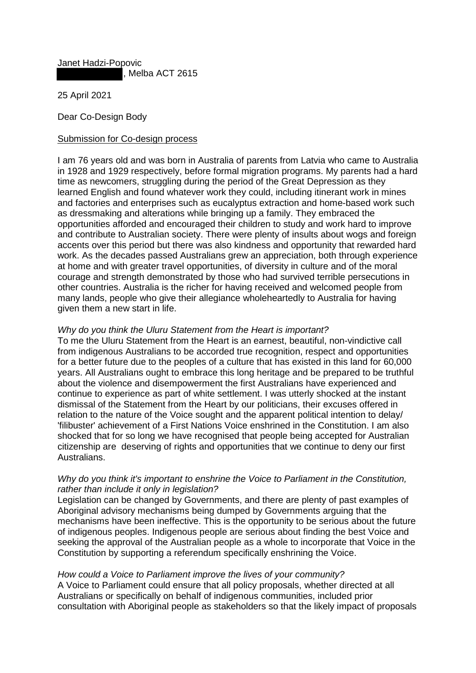Janet Hadzi-Popovic

Melba ACT 2615

25 April 2021

Dear Co-Design Body

## Submission for Co-design process

I am 76 years old and was born in Australia of parents from Latvia who came to Australia in 1928 and 1929 respectively, before formal migration programs. My parents had a hard time as newcomers, struggling during the period of the Great Depression as they learned English and found whatever work they could, including itinerant work in mines and factories and enterprises such as eucalyptus extraction and home-based work such as dressmaking and alterations while bringing up a family. They embraced the opportunities afforded and encouraged their children to study and work hard to improve and contribute to Australian society. There were plenty of insults about wogs and foreign accents over this period but there was also kindness and opportunity that rewarded hard work. As the decades passed Australians grew an appreciation, both through experience at home and with greater travel opportunities, of diversity in culture and of the moral courage and strength demonstrated by those who had survived terrible persecutions in other countries. Australia is the richer for having received and welcomed people from many lands, people who give their allegiance wholeheartedly to Australia for having given them a new start in life.

## *Why do you think the Uluru Statement from the Heart is important?*

To me the Uluru Statement from the Heart is an earnest, beautiful, non-vindictive call from indigenous Australians to be accorded true recognition, respect and opportunities for a better future due to the peoples of a culture that has existed in this land for 60,000 years. All Australians ought to embrace this long heritage and be prepared to be truthful about the violence and disempowerment the first Australians have experienced and continue to experience as part of white settlement. I was utterly shocked at the instant dismissal of the Statement from the Heart by our politicians, their excuses offered in relation to the nature of the Voice sought and the apparent political intention to delay/ 'filibuster' achievement of a First Nations Voice enshrined in the Constitution. I am also shocked that for so long we have recognised that people being accepted for Australian citizenship are deserving of rights and opportunities that we continue to deny our first Australians.

## *Why do you think it's important to enshrine the Voice to Parliament in the Constitution, rather than include it only in legislation?*

Legislation can be changed by Governments, and there are plenty of past examples of Aboriginal advisory mechanisms being dumped by Governments arguing that the mechanisms have been ineffective. This is the opportunity to be serious about the future of indigenous peoples. Indigenous people are serious about finding the best Voice and seeking the approval of the Australian people as a whole to incorporate that Voice in the Constitution by supporting a referendum specifically enshrining the Voice.

## *How could a Voice to Parliament improve the lives of your community?*

A Voice to Parliament could ensure that all policy proposals, whether directed at all Australians or specifically on behalf of indigenous communities, included prior consultation with Aboriginal people as stakeholders so that the likely impact of proposals